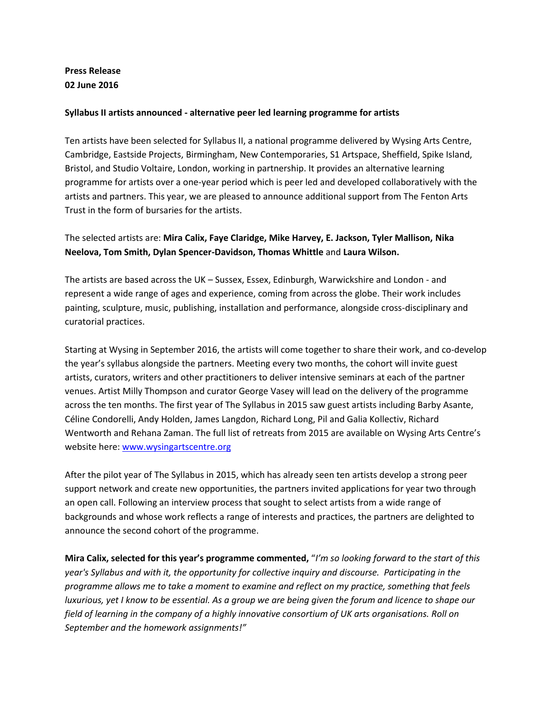### **Press Release 02 June 2016**

#### **Syllabus II artists announced - alternative peer led learning programme for artists**

Ten artists have been selected for Syllabus II, a national programme delivered by Wysing Arts Centre, Cambridge, Eastside Projects, Birmingham, New Contemporaries, S1 Artspace, Sheffield, Spike Island, Bristol, and Studio Voltaire, London, working in partnership. It provides an alternative learning programme for artists over a one-year period which is peer led and developed collaboratively with the artists and partners. This year, we are pleased to announce additional support from The Fenton Arts Trust in the form of bursaries for the artists.

## The selected artists are: **Mira Calix, Faye Claridge, Mike Harvey, E. Jackson, Tyler Mallison, Nika Neelova, Tom Smith, Dylan Spencer-Davidson, Thomas Whittle** and **Laura Wilson.**

The artists are based across the UK – Sussex, Essex, Edinburgh, Warwickshire and London - and represent a wide range of ages and experience, coming from across the globe. Their work includes painting, sculpture, music, publishing, installation and performance, alongside cross-disciplinary and curatorial practices.

Starting at Wysing in September 2016, the artists will come together to share their work, and co-develop the year's syllabus alongside the partners. Meeting every two months, the cohort will invite guest artists, curators, writers and other practitioners to deliver intensive seminars at each of the partner venues. Artist Milly Thompson and curator George Vasey will lead on the delivery of the programme across the ten months. The first year of The Syllabus in 2015 saw guest artists including Barby Asante, Céline Condorelli, Andy Holden, James Langdon, Richard Long, Pil and Galia Kollectiv, Richard Wentworth and Rehana Zaman. The full list of retreats from 2015 are available on Wysing Arts Centre's website here[: www.wysingartscentre.org](http://www.wysingartscentre.org/)

After the pilot year of The Syllabus in 2015, which has already seen ten artists develop a strong peer support network and create new opportunities, the partners invited applications for year two through an open call. Following an interview process that sought to select artists from a wide range of backgrounds and whose work reflects a range of interests and practices, the partners are delighted to announce the second cohort of the programme.

**Mira Calix, selected for this year's programme commented,** "*I'm so looking forward to the start of this year's Syllabus and with it, the opportunity for collective inquiry and discourse. Participating in the programme allows me to take a moment to examine and reflect on my practice, something that feels luxurious, yet I know to be essential. As a group we are being given the forum and licence to shape our field of learning in the company of a highly innovative consortium of UK arts organisations. Roll on September and the homework assignments!"*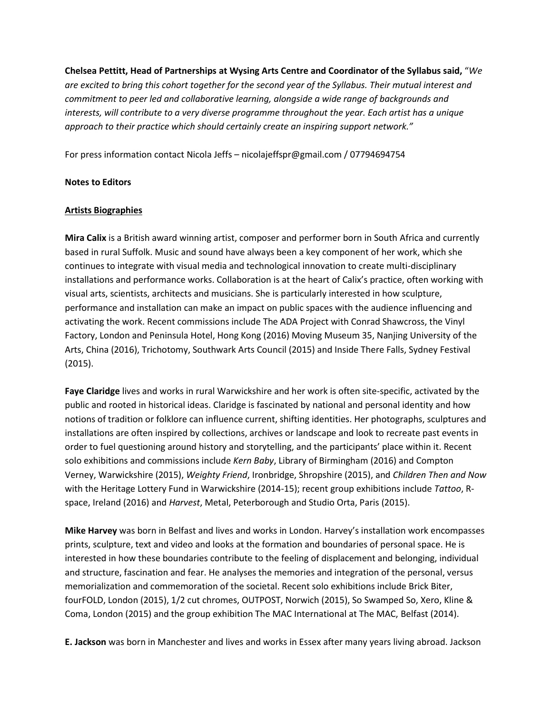**Chelsea Pettitt, Head of Partnerships at Wysing Arts Centre and Coordinator of the Syllabus said,** "*We are excited to bring this cohort together for the second year of the Syllabus. Their mutual interest and commitment to peer led and collaborative learning, alongside a wide range of backgrounds and interests, will contribute to a very diverse programme throughout the year. Each artist has a unique approach to their practice which should certainly create an inspiring support network."*

For press information contact Nicola Jeffs – nicolajeffspr@gmail.com / 07794694754

#### **Notes to Editors**

#### **Artists Biographies**

**Mira Calix** is a British award winning artist, composer and performer born in South Africa and currently based in rural Suffolk. Music and sound have always been a key component of her work, which she continues to integrate with visual media and technological innovation to create multi-disciplinary installations and performance works. Collaboration is at the heart of Calix's practice, often working with visual arts, scientists, architects and musicians. She is particularly interested in how sculpture, performance and installation can make an impact on public spaces with the audience influencing and activating the work. Recent commissions include The ADA Project with Conrad Shawcross, the Vinyl Factory, London and Peninsula Hotel, Hong Kong (2016) Moving Museum 35, Nanjing University of the Arts, China (2016), Trichotomy, Southwark Arts Council (2015) and Inside There Falls, Sydney Festival (2015).

**Faye Claridge** lives and works in rural Warwickshire and her work is often site-specific, activated by the public and rooted in historical ideas. Claridge is fascinated by national and personal identity and how notions of tradition or folklore can influence current, shifting identities. Her photographs, sculptures and installations are often inspired by collections, archives or landscape and look to recreate past events in order to fuel questioning around history and storytelling, and the participants' place within it. Recent solo exhibitions and commissions include *Kern Baby*, Library of Birmingham (2016) and Compton Verney, Warwickshire (2015), *Weighty Friend*, Ironbridge, Shropshire (2015), and *Children Then and Now* with the Heritage Lottery Fund in Warwickshire (2014-15); recent group exhibitions include *Tattoo*, Rspace, Ireland (2016) and *Harvest*, Metal, Peterborough and Studio Orta, Paris (2015).

**Mike Harvey** was born in Belfast and lives and works in London. Harvey's installation work encompasses prints, sculpture, text and video and looks at the formation and boundaries of personal space. He is interested in how these boundaries contribute to the feeling of displacement and belonging, individual and structure, fascination and fear. He analyses the memories and integration of the personal, versus memorialization and commemoration of the societal. Recent solo exhibitions include Brick Biter, fourFOLD, London (2015), 1/2 cut chromes, OUTPOST, Norwich (2015), So Swamped So, Xero, Kline & Coma, London (2015) and the group exhibition The MAC International at The MAC, Belfast (2014).

**E. Jackson** was born in Manchester and lives and works in Essex after many years living abroad. Jackson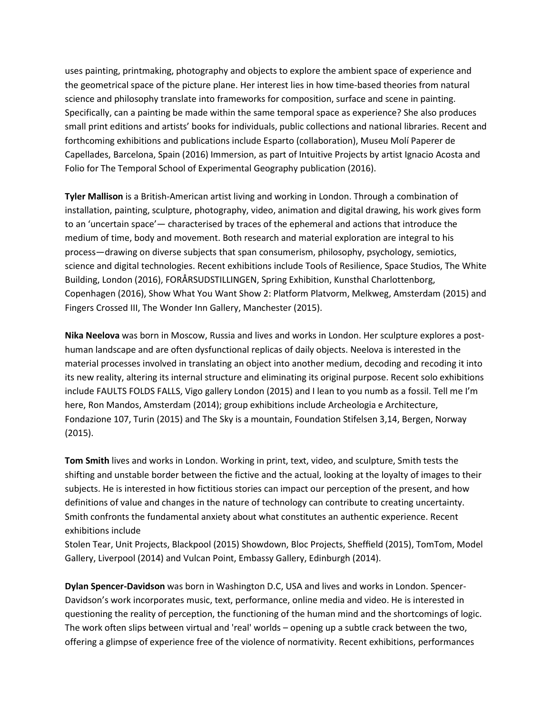uses painting, printmaking, photography and objects to explore the ambient space of experience and the geometrical space of the picture plane. Her interest lies in how time-based theories from natural science and philosophy translate into frameworks for composition, surface and scene in painting. Specifically, can a painting be made within the same temporal space as experience? She also produces small print editions and artists' books for individuals, public collections and national libraries. Recent and forthcoming exhibitions and publications include Esparto (collaboration), Museu Molí Paperer de Capellades, Barcelona, Spain (2016) Immersion, as part of Intuitive Projects by artist Ignacio Acosta and Folio for The Temporal School of Experimental Geography publication (2016).

**Tyler Mallison** is a British-American artist living and working in London. Through a combination of installation, painting, sculpture, photography, video, animation and digital drawing, his work gives form to an 'uncertain space'— characterised by traces of the ephemeral and actions that introduce the medium of time, body and movement. Both research and material exploration are integral to his process—drawing on diverse subjects that span consumerism, philosophy, psychology, semiotics, science and digital technologies. Recent exhibitions include Tools of Resilience, Space Studios, The White Building, London (2016), FORÅRSUDSTILLINGEN, Spring Exhibition, Kunsthal Charlottenborg, Copenhagen (2016), Show What You Want Show 2: Platform Platvorm, Melkweg, Amsterdam (2015) and Fingers Crossed III, The Wonder Inn Gallery, Manchester (2015).

**Nika Neelova** was born in Moscow, Russia and lives and works in London. Her sculpture explores a posthuman landscape and are often dysfunctional replicas of daily objects. Neelova is interested in the material processes involved in translating an object into another medium, decoding and recoding it into its new reality, altering its internal structure and eliminating its original purpose. Recent solo exhibitions include FAULTS FOLDS FALLS, Vigo gallery London (2015) and I lean to you numb as a fossil. Tell me I'm here, Ron Mandos, Amsterdam (2014); group exhibitions include Archeologia e Architecture, Fondazione 107, Turin (2015) and The Sky is a mountain, Foundation Stifelsen 3,14, Bergen, Norway (2015).

**Tom Smith** lives and works in London. Working in print, text, video, and sculpture, Smith tests the shifting and unstable border between the fictive and the actual, looking at the loyalty of images to their subjects. He is interested in how fictitious stories can impact our perception of the present, and how definitions of value and changes in the nature of technology can contribute to creating uncertainty. Smith confronts the fundamental anxiety about what constitutes an authentic experience. Recent exhibitions include

Stolen Tear, Unit Projects, Blackpool (2015) Showdown, Bloc Projects, Sheffield (2015), TomTom, Model Gallery, Liverpool (2014) and Vulcan Point, Embassy Gallery, Edinburgh (2014).

**Dylan Spencer-Davidson** was born in Washington D.C, USA and lives and works in London. Spencer-Davidson's work incorporates music, text, performance, online media and video. He is interested in questioning the reality of perception, the functioning of the human mind and the shortcomings of logic. The work often slips between virtual and 'real' worlds – opening up a subtle crack between the two, offering a glimpse of experience free of the violence of normativity. Recent exhibitions, performances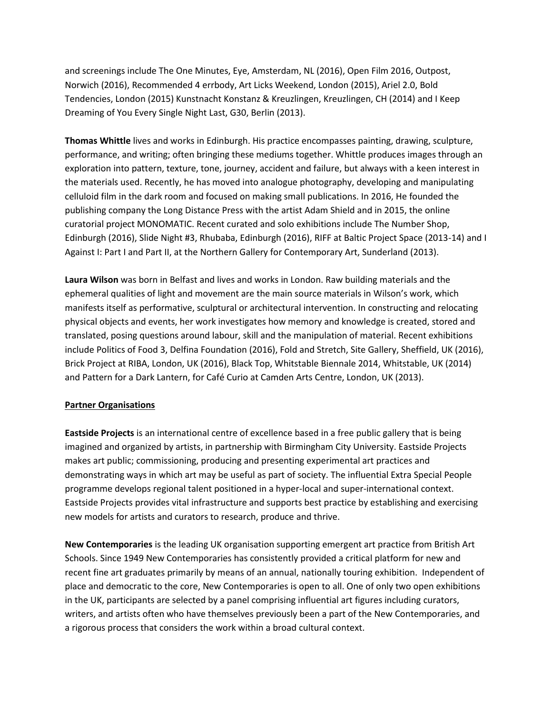and screenings include The One Minutes, Eye, Amsterdam, NL (2016), Open Film 2016, Outpost, Norwich (2016), Recommended 4 errbody, Art Licks Weekend, London (2015), Ariel 2.0, Bold Tendencies, London (2015) Kunstnacht Konstanz & Kreuzlingen, Kreuzlingen, CH (2014) and I Keep Dreaming of You Every Single Night Last, G30, Berlin (2013).

**Thomas Whittle** lives and works in Edinburgh. His practice encompasses painting, drawing, sculpture, performance, and writing; often bringing these mediums together. Whittle produces images through an exploration into pattern, texture, tone, journey, accident and failure, but always with a keen interest in the materials used. Recently, he has moved into analogue photography, developing and manipulating celluloid film in the dark room and focused on making small publications. In 2016, He founded the publishing company the Long Distance Press with the artist Adam Shield and in 2015, the online curatorial project MONOMATIC. Recent curated and solo exhibitions include The Number Shop, Edinburgh (2016), Slide Night #3, Rhubaba, Edinburgh (2016), RIFF at Baltic Project Space (2013-14) and I Against I: Part I and Part II, at the Northern Gallery for Contemporary Art, Sunderland (2013).

**Laura Wilson** was born in Belfast and lives and works in London. Raw building materials and the ephemeral qualities of light and movement are the main source materials in Wilson's work, which manifests itself as performative, sculptural or architectural intervention. In constructing and relocating physical objects and events, her work investigates how memory and knowledge is created, stored and translated, posing questions around labour, skill and the manipulation of material. Recent exhibitions include Politics of Food 3, Delfina Foundation (2016), Fold and Stretch, Site Gallery, Sheffield, UK (2016), Brick Project at RIBA, London, UK (2016), Black Top, Whitstable Biennale 2014, Whitstable, UK (2014) and Pattern for a Dark Lantern, for Café Curio at Camden Arts Centre, London, UK (2013).

#### **Partner Organisations**

**Eastside Projects** is an international centre of excellence based in a free public gallery that is being imagined and organized by artists, in partnership with Birmingham City University. Eastside Projects makes art public; commissioning, producing and presenting experimental art practices and demonstrating ways in which art may be useful as part of society. The influential Extra Special People programme develops regional talent positioned in a hyper-local and super-international context. Eastside Projects provides vital infrastructure and supports best practice by establishing and exercising new models for artists and curators to research, produce and thrive.

**New Contemporaries** is the leading UK organisation supporting emergent art practice from British Art Schools. Since 1949 New Contemporaries has consistently provided a critical platform for new and recent fine art graduates primarily by means of an annual, nationally touring exhibition. Independent of place and democratic to the core, New Contemporaries is open to all. One of only two open exhibitions in the UK, participants are selected by a panel comprising influential art figures including curators, writers, and artists often who have themselves previously been a part of the New Contemporaries, and a rigorous process that considers the work within a broad cultural context.